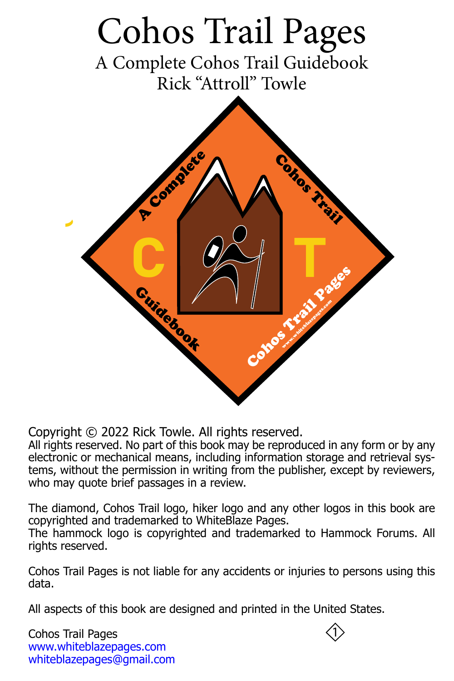<span id="page-0-0"></span>

Copyright © 2022 Rick Towle. All rights reserved.

All rights reserved. No part of this book may be reproduced in any form or by any electronic or mechanical means, including information storage and retrieval systems, without the permission in writing from the publisher, except by reviewers, who may quote brief passages in a review.

The diamond, Cohos Trail logo, hiker logo and any other logos in this book are copyrighted and trademarked to WhiteBlaze Pages.

The hammock logo is copyrighted and trademarked to Hammock Forums. All rights reserved.

Cohos Trail Pages is not liable for any accidents or injuries to persons using this data.

All aspects of this book are designed and printed in the United States.

Cohos Trail Pages <www.whiteblazepages.com> [whiteblazepages@gmail.com](mailto:whiteblazepages@gmail.com)

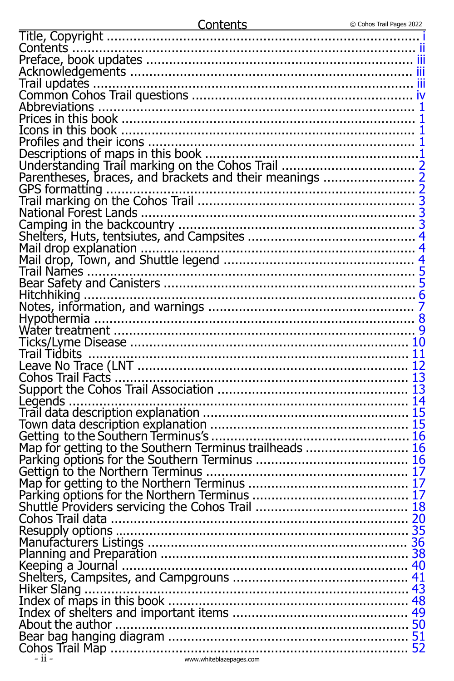| Legends.                                                                                                                                                                                                        |  |
|-----------------------------------------------------------------------------------------------------------------------------------------------------------------------------------------------------------------|--|
| Trail data description explanation<br>Trail data description explanation<br>Town data description explanation<br>15<br>Getting to the Southern Terminus trailheads<br>Tarking options for the Southern Terminus |  |
|                                                                                                                                                                                                                 |  |
|                                                                                                                                                                                                                 |  |
|                                                                                                                                                                                                                 |  |
|                                                                                                                                                                                                                 |  |
|                                                                                                                                                                                                                 |  |
|                                                                                                                                                                                                                 |  |
|                                                                                                                                                                                                                 |  |
|                                                                                                                                                                                                                 |  |
|                                                                                                                                                                                                                 |  |
|                                                                                                                                                                                                                 |  |
|                                                                                                                                                                                                                 |  |
|                                                                                                                                                                                                                 |  |
|                                                                                                                                                                                                                 |  |
|                                                                                                                                                                                                                 |  |
|                                                                                                                                                                                                                 |  |
|                                                                                                                                                                                                                 |  |
|                                                                                                                                                                                                                 |  |
|                                                                                                                                                                                                                 |  |
|                                                                                                                                                                                                                 |  |
|                                                                                                                                                                                                                 |  |
| www.whiteblazepages.com<br>- ii -                                                                                                                                                                               |  |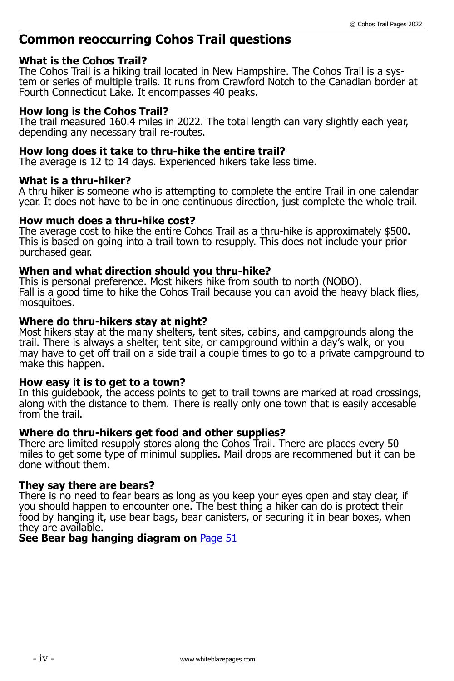## <span id="page-2-0"></span>**Common reoccurring Cohos Trail questions**

### **What is the Cohos Trail?**

The Cohos Trail is a hiking trail located in New Hampshire. The Cohos Trail is a system or series of multiple trails. It runs from Crawford Notch to the Canadian border at Fourth Connecticut Lake. It encompasses 40 peaks.

### **How long is the Cohos Trail?**

The trail measured 160.4 miles in 2022. The total length can vary slightly each year, depending any necessary trail re-routes.

### **How long does it take to thru-hike the entire trail?**

The average is 12 to 14 days. Experienced hikers take less time.

#### **What is a thru-hiker?**

A thru hiker is someone who is attempting to complete the entire Trail in one calendar year. It does not have to be in one continuous direction, just complete the whole trail.

#### **How much does a thru-hike cost?**

The average cost to hike the entire Cohos Trail as a thru-hike is approximately \$500. This is based on going into a trail town to resupply. This does not include your prior purchased gear.

#### **When and what direction should you thru-hike?**

This is personal preference. Most hikers hike from south to north (NOBO). Fall is a good time to hike the Cohos Trail because you can avoid the heavy black flies, mosquitoes.

#### **Where do thru-hikers stay at night?**

Most hikers stay at the many shelters, tent sites, cabins, and campgrounds along the trail. There is always a shelter, tent site, or campground within a day's walk, or you may have to get off trail on a side trail a couple times to go to a private campground to make this happen.

#### **How easy it is to get to a town?**

In this guidebook, the access points to get to trail towns are marked at road crossings, along with the distance to them. There is really only one town that is easily accesable from the trail.

#### **Where do thru-hikers get food and other supplies?**

There are limited resupply stores along the Cohos Trail. There are places every 50 miles to get some type of minimul supplies. Mail drops are recommened but it can be done without them.

#### **They say there are bears?**

There is no need to fear bears as long as you keep your eyes open and stay clear, if you should happen to encounter one. The best thing a hiker can do is protect their food by hanging it, use bear bags, bear canisters, or securing it in bear boxes, when they are available.

## **See Bear bag hanging diagram on** Page 51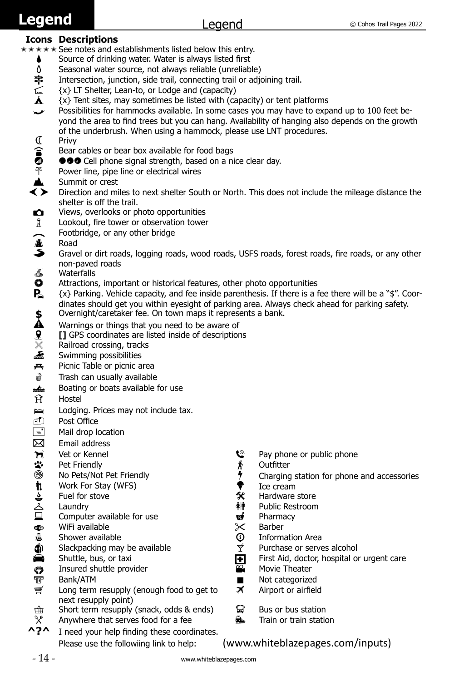# <span id="page-3-0"></span>**Legend**

## **Icons Descriptions**

- $\star \star \star \star \star$  See notes and establishments listed below this entry.
	- Source of drinking water. Water is always listed first  $\delta$  Seasonal water source, not always reliable (unreliab
	- **△** Seasonal water source, not always reliable (unreliable)<br>**宰** Intersection, junction, side trail, connecting trail or adjo
	- **字** Intersection, junction, side trail, connecting trail or adjoining trail.<br>  $\subsetneq$  {x} LT Shelter, Lean-to, or Lodge and (capacity)
	- $\subsetneq$   $\{x\}$  LT Shelter, Lean-to, or Lodge and (capacity)<br> $\bigstar$   $\{x\}$  Tent sites, may sometimes be listed with (ca
	- $\{x\}$  Tent sites, may sometimes be listed with (capacity) or tent platforms
	- $\rightarrow$  Possibilities for hammocks available. In some cases you may have to expand up to 100 feet beyond the area to find trees but you can hang. Availability of hanging also depends on the growth of the underbrush. When using a hammock, please use LNT procedures.
	- C<br> **a**<br> **a**<br> **e**<br> **e**<br> **e**<br> **e**<br> **e**<br> **s**<br> **s**
	- Bear cables or bear box available for food bags
	- $\bullet \bullet \bullet$  Cell phone signal strength, based on a nice clear day.
	- Power line, pipe line or electrical wires
	- $\triangle$  Summit or crest<br> $\Longleftrightarrow$  Direction and mi
	- < > Direction and miles to next shelter South or North. This does not include the mileage distance the shelter is off the trail.
	- $\bullet$  Views, overlooks or photo opportunities<br>  $\mathbb{\bar{R}}$  Lookout, fire tower or observation tower
	- Lookout, fire tower or observation tower
	- $\bigcap$  Footbridge, or any other bridge
	- A Road
	- Gravel or dirt roads, logging roads, wood roads, USFS roads, forest roads, fire roads, or any other non-paved roads
	- $\sum_{\text{Attractions}}$
	- **Q** Attractions, important or historical features, other photo opportunities  $\mathbf{P}_2$   $\{x\}$  Parking. Vehicle capacity, and fee inside parenthesis. If there is a f
	- k {x} Parking. Vehicle capacity, and fee inside parenthesis. If there is a fee there will be a "\$". Coordinates should get you within eyesight of parking area. Always check ahead for parking safety. **\$** Overnight/caretaker fee. On town maps it represents a bank.<br>Warnings or things that you need to be aware of
	-
	- $\mathbf{\Omega}$  Warnings or things that you need to be aware of  $\mathbf{\Omega}$  [] GPS coordinates are listed inside of description  $\mathbf{Q} = \mathbf{I}$  [] GPS coordinates are listed inside of descriptions  $\mathbb{X} = \mathbb{R}$  Railroad crossing, tracks
	- $\times$  Railroad crossing, tracks<br>Swimming possibilities
	- Swimming possibilities
	-
	- **A Picnic Table or picnic area**<br> **EXECUTE:**Trash can usually available Trash can usually available
	- $\frac{dx}{dt}$  Boating or boats available for use<br>  $\hat{H}$  Hostel
	- **Hostel**
	- **He Lodging. Prices may not include tax.**
	- M Post Office
	- $\equiv$  Mail drop location
	- $\boxtimes$  Email address
	-
	-
	- **1**<br>
	Vet or Kennel **Pay phone or public phone**<br>
	Pet Friendly<br>
	No Pets/Not Pet Friendly<br>
	Pay phone or public phone<br>  $\frac{4}{3}$  Outfitter<br>
	Pay phone or public phone<br>
	Pay phone or public phone<br>  $\frac{4}{3}$  Charging station for \*\* Pet Friendly **\*\*** Outfitter<br>
	® No Pets/Not Pet Friendly **by the State of Australia**
	-
	-
	-
	- j Work For Stay (WFS) = Ice cream  $\square$  Computer available for use  $\square$  Computer available for use  $\mathscr$  Barber
	- an WiFi available Barber (Som and the Some of Some and Some and Some and Some and Some and Some and Some and S<br>Information Area (Some available states) and Some and Some and Some and Some and Some and Some and Some and So
	-
	- **G** Shower available in the available information Area<br> **G** Slackpacking may be available **information Area** Purchase or serves alcohol Slackpacking may be available<br>Shuttle, bus, or taxi
	-
	- **8** Insured shuttle provider<br>Theater Bank/ATM
	-
	- $\equiv$  Long term resupply (enough food to get to next resupply point)
	- $\hat{\mathbb{H}}$  Short term resupply (snack, odds & ends)  $\hat{\mathbb{H}}$  Bus or bus station  $\mathbb{X}$  Anywhere that serves food for a fee **Example 19** Train or train station
	- $\chi^*$  Anywhere that serves food for a fee  $\mathbf{R}$  Train or train station  $\mathbf{A}$  **2A** Theed vour belp finding these coordinates
	- **^?^** I need your help finding these coordinates.
- 
- 
- <sup><sup>3</sup> No Pets/Not Pet Friendly and the station for phone and accessories<br>**†** Work For Stay (WFS) and the state of the state of the state of the state of the state of the state of the sta</sup>
	-
	- Fuel for stove the store of the Second State of the Hardware store control of the Hardware store control of th<br>
	4 Public Restroom Control of the Hardware of the Public Restroom of the Second State of the Second State of t
		- **个**<br>**n** Pharmacy
		-
		-
		-
		-
- **b Shuttle, bus, or taxi f Film Shuttle, bus, or taxi f Film Shuttle, bus, or taxi f Film Shuttle or ovider f Film Shuttle provider f**  $\frac{d\Omega}{d\Omega}$  **Movie Theater** 
	-
- **a** Bank/ATM **U** Not categorized
	- $\times$  Airport or airfield
	-
	-

## Please use the followiing link to help: (www.whiteblazepages.com/inputs)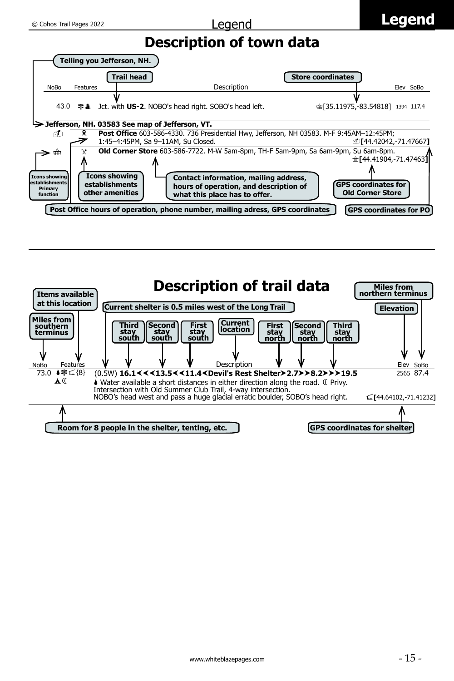# **Description of town data**

<span id="page-4-0"></span>

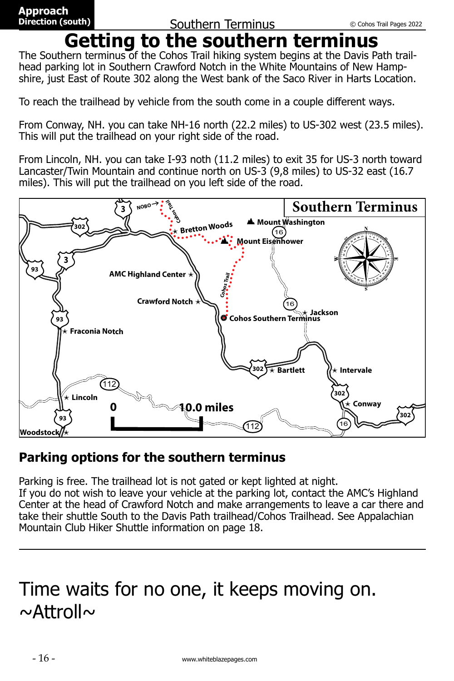# **Getting to the southern terminus**

<span id="page-5-0"></span>The Southern terminus of the Cohos Trail hiking system begins at the Davis Path trailhead parking lot in Southern Crawford Notch in the White Mountains of New Hampshire, just East of Route 302 along the West bank of the Saco River in Harts Location.

To reach the trailhead by vehicle from the south come in a couple different ways.

From Conway, NH. you can take NH-16 north (22.2 miles) to US-302 west (23.5 miles). This will put the trailhead on your right side of the road.

From Lincoln, NH. you can take I-93 noth (11.2 miles) to exit 35 for US-3 north toward Lancaster/Twin Mountain and continue north on US-3 (9,8 miles) to US-32 east (16.7 miles). This will put the trailhead on you left side of the road.



# **Parking options for the southern terminus**

Parking is free. The trailhead lot is not gated or kept lighted at night. If you do not wish to leave your vehicle at the parking lot, contact the AMC's Highland Center at the head of Crawford Notch and make arrangements to leave a car there and take their shuttle South to the Davis Path trailhead/Cohos Trailhead. See Appalachian Mountain Club Hiker Shuttle information on page 18.

# Time waits for no one, it keeps moving on.  $\sim$ Attroll $\sim$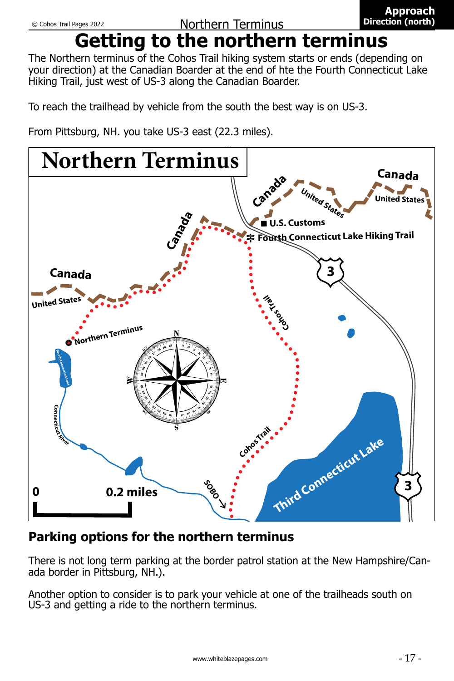# **Getting to the northern terminus**

<span id="page-6-0"></span>The Northern terminus of the Cohos Trail hiking system starts or ends (depending on your direction) at the Canadian Boarder at the end of hte the Fourth Connecticut Lake Hiking Trail, just west of US-3 along the Canadian Boarder.

To reach the trailhead by vehicle from the south the best way is on US-3.

From Pittsburg, NH. you take US-3 east (22.3 miles).



# **Parking options for the northern terminus**

There is not long term parking at the border patrol station at the New Hampshire/Canada border in Pittsburg, NH.).

Another option to consider is to park your vehicle at one of the trailheads south on US-3 and getting a ride to the northern terminus.

**Approach Direction (north)**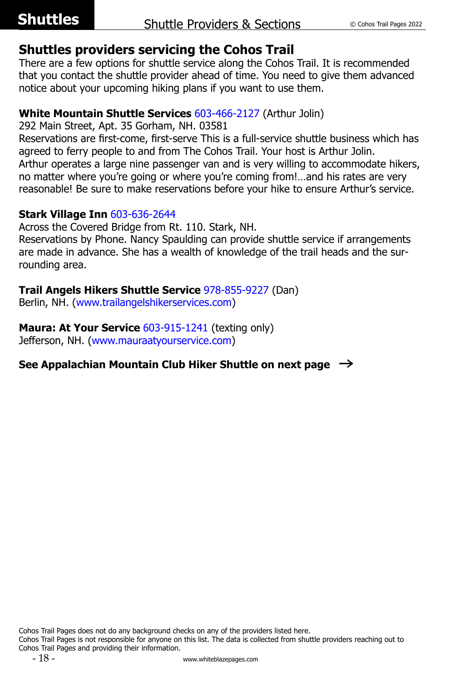## <span id="page-7-0"></span>**Shuttles providers servicing the Cohos Trail**

There are a few options for shuttle service along the Cohos Trail. It is recommended that you contact the shuttle provider ahead of time. You need to give them advanced notice about your upcoming hiking plans if you want to use them.

## **White Mountain Shuttle Services** [603-466-2127](tel:+16034662127) (Arthur Jolin)

292 Main Street, Apt. 35 Gorham, NH. 03581

Reservations are first-come, first-serve This is a full-service shuttle business which has agreed to ferry people to and from The Cohos Trail. Your host is Arthur Jolin. Arthur operates a large nine passenger van and is very willing to accommodate hikers, no matter where you're going or where you're coming from!…and his rates are very reasonable! Be sure to make reservations before your hike to ensure Arthur's service.

## **Stark Village Inn** [603-636-2644](tel:+16036362644)

Across the Covered Bridge from Rt. 110. Stark, NH.

Reservations by Phone. Nancy Spaulding can provide shuttle service if arrangements are made in advance. She has a wealth of knowledge of the trail heads and the surrounding area.

## **Trail Angels Hikers Shuttle Service** [978-855-9227](tel:+19788559227) (Dan)

Berlin, NH. (<www.trailangelshikerservices.com>)

**Maura: At Your Service [603-915-1241](tel:+16039151241) (texting only)** Jefferson, NH. (<www.mauraatyourservice.com>)

## **See Appalachian Mountain Club Hiker Shuttle on next page** R

Cohos Trail Pages does not do any background checks on any of the providers listed here.

Cohos Trail Pages is not responsible for anyone on this list. The data is collected from shuttle providers reaching out to Cohos Trail Pages and providing their information.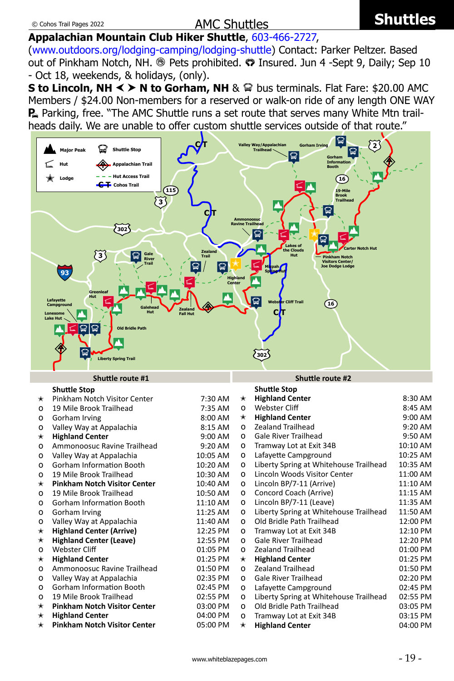## **Appalachian Mountain Club Hiker Shuttle**, [603-466-2727,](tel:+16034662727)

(<www.outdoors.org/lodging-camping/lodging-shuttle>) Contact: Parker Peltzer. Based out of Pinkham Notch, NH. <sup>®</sup> Pets prohibited. <sup>®</sup> Insured. Jun 4 -Sept 9, Daily; Sep 10 - Oct 18, weekends, & holidays, (only).

**S to Lincoln, NH**  $\leq \geq N$  **to Gorham, NH** &  $\mathbb{Q}$  bus terminals. Flat Fare: \$20.00 AMC Members / \$24.00 Non-members for a reserved or walk-on ride of any length ONE WAY **P** Parking, free. "The AMC Shuttle runs a set route that serves many White Mtn trailheads daily. We are unable to offer custom shuttle services outside of that route."

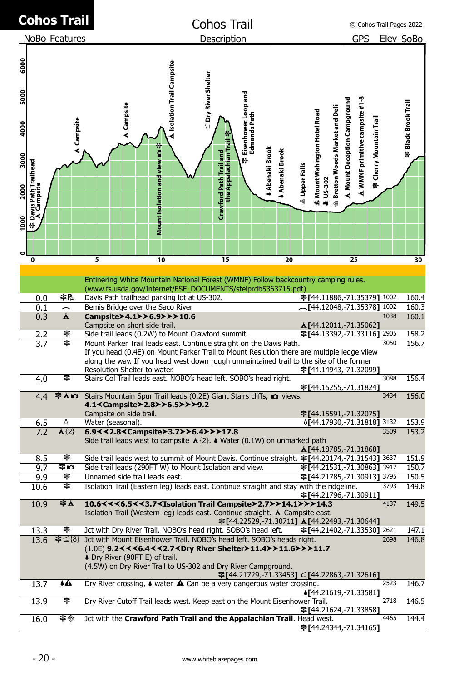<span id="page-9-0"></span>

|              |                                     | Cohos Trail              |                                                                                                                                                                                                                                                                                              |                   |                               |                     | Cohos Trail                                      |                                             |                        |               |               |                              |                               |                            |                                |                                |                                  | © Cohos Trail Pages 2022 |    |
|--------------|-------------------------------------|--------------------------|----------------------------------------------------------------------------------------------------------------------------------------------------------------------------------------------------------------------------------------------------------------------------------------------|-------------------|-------------------------------|---------------------|--------------------------------------------------|---------------------------------------------|------------------------|---------------|---------------|------------------------------|-------------------------------|----------------------------|--------------------------------|--------------------------------|----------------------------------|--------------------------|----|
|              |                                     | NoBo Features            |                                                                                                                                                                                                                                                                                              |                   |                               |                     | Description                                      |                                             |                        |               |               |                              |                               |                            | <b>GPS</b>                     |                                |                                  | Elev SoBo                |    |
|              |                                     |                          |                                                                                                                                                                                                                                                                                              |                   |                               |                     |                                                  |                                             |                        |               |               |                              |                               |                            |                                |                                |                                  |                          |    |
| 6000<br>5000 |                                     |                          |                                                                                                                                                                                                                                                                                              |                   | A Isolation Trail Campsite    | ⊆ Dry River Shelter |                                                  |                                             |                        |               |               |                              |                               |                            |                                |                                |                                  |                          |    |
| 4000         |                                     | <b>A</b> Campsite        |                                                                                                                                                                                                                                                                                              | <b>A</b> Campsite |                               |                     |                                                  | Eisenhower Loop and<br>Edmands Path         |                        |               |               | A Mount Wahington Hotel Road | Bretton Woods Market and Deli | Mount Deception Campground | A WMNF primitive campsite #1-8 |                                |                                  | 후 Black Brook Trail      |    |
| 3000         |                                     |                          |                                                                                                                                                                                                                                                                                              |                   | Mount Isolation and view �� 주 |                     | the Appalachian Trail<br>Crawford Path Trail and | m                                           | <b>4 Abenaki Brook</b> | Abenaki Brook |               |                              |                               |                            |                                | <b>∉ Cherry Mountain Trail</b> |                                  |                          |    |
| 2000         | Davis Path Trailhead<br>_A Campsite |                          |                                                                                                                                                                                                                                                                                              |                   |                               |                     |                                                  |                                             |                        |               | & Upper Falls |                              | <b>ALUS-302</b><br>伸          |                            |                                |                                |                                  |                          |    |
| 1000         | 仆                                   |                          |                                                                                                                                                                                                                                                                                              |                   |                               |                     |                                                  |                                             |                        |               |               |                              |                               |                            |                                |                                |                                  |                          |    |
|              |                                     |                          |                                                                                                                                                                                                                                                                                              |                   |                               |                     |                                                  |                                             |                        |               |               |                              |                               |                            |                                |                                |                                  |                          |    |
|              | $\bf{0}$                            |                          | 5                                                                                                                                                                                                                                                                                            |                   | 10                            |                     | 15                                               |                                             |                        | 20            |               |                              |                               |                            | 25                             |                                |                                  |                          | 30 |
|              |                                     |                          | Entinering White Mountain National Forest (WMNF) Follow backcountry camping rules.                                                                                                                                                                                                           |                   |                               |                     |                                                  |                                             |                        |               |               |                              |                               |                            |                                |                                |                                  |                          |    |
|              |                                     | 宰P                       | (www.fs.usda.gov/Internet/FSE_DOCUMENTS/stelprdb5363715.pdf)                                                                                                                                                                                                                                 |                   |                               |                     |                                                  |                                             |                        |               |               |                              |                               |                            |                                |                                | 宰[44.11886,-71.35379] 1002       |                          |    |
|              | 0.0<br>0.1                          | $\overline{\phantom{0}}$ | Davis Path trailhead parking lot at US-302.<br>Bemis Bridge over the Saco River                                                                                                                                                                                                              |                   |                               |                     |                                                  |                                             |                        |               |               |                              |                               |                            |                                |                                | $\sim$ [44.12048,-71.35378] 1002 | 160.4<br>160.3           |    |
|              | 0.3                                 | Å                        | Campsite>4.1>>6.9>>>10.6<br>Campsite on short side trail.                                                                                                                                                                                                                                    |                   |                               |                     |                                                  |                                             |                        |               |               |                              |                               |                            | Å [44.12011,-71.35062]         |                                | 1038                             | 160.1                    |    |
|              | 2.2                                 | 宰                        | Side trail leads (0.2W) to Mount Crawford summit.                                                                                                                                                                                                                                            |                   |                               |                     |                                                  |                                             |                        |               |               |                              |                               |                            |                                |                                | 宰[44.13392,-71.33116] 2905       | 158.2                    |    |
|              | 3.7                                 | 宰                        | Mount Parker Trail leads east. Continue straight on the Davis Path.<br>If you head (0.4E) on Mount Parker Trail to Mount Reslution there are multiple ledge viiew<br>along the way. If you head west down rough unmaintained trail to the site of the former<br>Resolution Shelter to water. |                   |                               |                     |                                                  |                                             |                        |               |               |                              |                               |                            | 宰[44.14943,-71.32099]          |                                | 3050                             | 156.7                    |    |
|              | 4.0                                 | 宰                        | Stairs Col Trail leads east. NOBO's head left. SOBO's head right.                                                                                                                                                                                                                            |                   |                               |                     |                                                  |                                             |                        |               |               |                              |                               |                            | 宰[44.15255,-71.31824]          |                                | 3088                             | 156.4                    |    |
|              | 4.4                                 | <b>DAS</b>               | Stairs Mountain Spur Trail leads (0.2E) Giant Stairs cliffs, a views.<br>4.1 < Campsite > 2.8 > > 6.5 > > > 9.2<br>Campsite on side trail.                                                                                                                                                   |                   |                               |                     |                                                  |                                             |                        |               |               |                              |                               |                            | 宰[44.15591,-71.32075]          |                                | 3434                             | 156.0                    |    |
|              | 6.5                                 | ٥                        | Water (seasonal).                                                                                                                                                                                                                                                                            |                   |                               |                     |                                                  |                                             |                        |               |               |                              |                               |                            |                                |                                | 0144.17930, -71.318181 3132      | 153.9                    |    |
|              | 7.2                                 | $\mathbf{\Delta}$ {2}    | 6.9<<2.8 <campsite>3.7&gt;&gt;6.4&gt;&gt;&gt;17.8<br/>Side trail leads west to campsite <math>\triangle</math> {2}. <math>\blacklozenge</math> Water (0.1W) on unmarked path</campsite>                                                                                                      |                   |                               |                     |                                                  |                                             |                        |               |               |                              |                               |                            |                                |                                | 3509                             | 153.2                    |    |
|              | 8.5                                 | 宰                        | Side trail leads west to summit of Mount Davis. Continue straight. 辛[44.20174,-71.31543] 3637                                                                                                                                                                                                |                   |                               |                     |                                                  |                                             |                        |               |               |                              |                               |                            | <b>A</b> [44.18785,-71.31868]  |                                |                                  | 151.9                    |    |
|              | 9.7                                 | ‡Ω                       | Side trail leads (290FT W) to Mount Isolation and view.                                                                                                                                                                                                                                      |                   |                               |                     |                                                  |                                             |                        |               |               |                              |                               |                            |                                |                                | 宰[44.21531,-71.30863] 3917       | 150.7                    |    |
|              | 9.9                                 | 宰                        | Unnamed side trail leads east.                                                                                                                                                                                                                                                               |                   |                               |                     |                                                  |                                             |                        |               |               |                              |                               |                            |                                |                                | 辛[44.21785,-71.30913] 3795       | 150.5                    |    |
|              | 10.6                                | 宰                        | Isolation Trail (Eastern leg) leads east. Continue straight and stay with the ridgeline.                                                                                                                                                                                                     |                   |                               |                     |                                                  |                                             |                        |               |               |                              |                               |                            | 字[44.21796,-71.30911]          |                                | 3793                             | 149.8                    |    |
|              | 10.9                                | <b>室人</b>                | 10.6 < < < 6.5 < < 3.7 < Isolation Trail Campsite> 2.7> > 14.1>>> 14.3<br>Isolation Trail (Western leg) leads east. Continue straight. <b>A</b> Campsite east.                                                                                                                               |                   |                               |                     |                                                  | 字[44.22529,-71.30711] ∆[44.22493,-71.30644] |                        |               |               |                              |                               |                            |                                |                                | 4137                             | 149.5                    |    |
|              | 13.3                                | 宰                        | Jct with Dry River Trail. NOBO's head right. SOBO's head left.                                                                                                                                                                                                                               |                   |                               |                     |                                                  |                                             |                        |               |               |                              |                               |                            |                                |                                | 宰[44.21402,-71.33530] 2621       | 147.1                    |    |
|              | 13.6                                |                          | 宰 < {8} Jct with Mount Eisenhower Trail. NOBO's head left. SOBO's heads right.<br>(1.0E) 9.2≺≺<6.4≺≺2.7≺Drv River Shelter≻11.4≻≻11.6≻≻≻11.7<br>♦ Dry River (90FT E) of trail.<br>(4.5W) on Dry River Trail to US-302 and Dry River Campground.                                               |                   |                               |                     |                                                  |                                             |                        |               |               |                              |                               |                            |                                |                                | 2698                             | 146.8                    |    |
|              | 13.7                                | ٨A                       | Dry River crossing, $\triangle$ water. $\triangle$ Can be a very dangerous water crossing.                                                                                                                                                                                                   |                   |                               |                     |                                                  | 韋[44.21729,-71.33453] ⊆[44.22863,-71.32616] |                        |               |               |                              |                               |                            | <b>↓[44.21619,-71.33581]</b>   |                                | 2523                             | 146.7                    |    |
|              | 13.9                                | 宰                        | Dry River Cutoff Trail leads west. Keep east on the Mount Eisenhower Trail.                                                                                                                                                                                                                  |                   |                               |                     |                                                  |                                             |                        |               |               |                              |                               |                            | 宰[44.21624,-71.33858]          |                                | 2718                             | 146.5                    |    |
|              | 16.0                                | 宰◈                       | Jct with the Crawford Path Trail and the Appalachian Trail. Head west.                                                                                                                                                                                                                       |                   |                               |                     |                                                  |                                             |                        |               |               |                              |                               |                            | 宰[44.24344,-71.34165]          |                                | 4465                             | 144.4                    |    |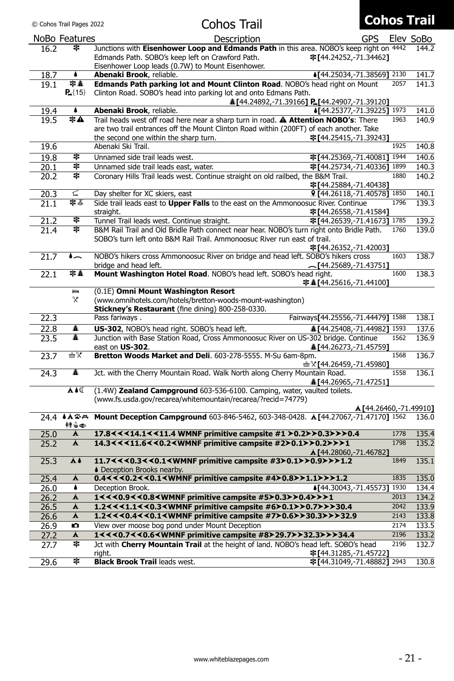© Cohos Trail Pages 2022

## Cohos Trail

# **Cohos Trail**

|              |                  | ווטוו טטווטט                                                                                                       |            |      |                                 |
|--------------|------------------|--------------------------------------------------------------------------------------------------------------------|------------|------|---------------------------------|
|              | NoBo Features    | Description                                                                                                        | <b>GPS</b> |      | Elev SoBo                       |
| 16.2         | 韋                | Junctions with Eisenhower Loop and Edmands Path in this area. NOBO's keep right on 4442                            |            |      | 144.2                           |
|              |                  | Edmands Path. SOBO's keep left on Crawford Path.<br>宰[44.24252,-71.34462]                                          |            |      |                                 |
|              |                  | Eisenhower Loop leads (0.7W) to Mount Eisenhower.                                                                  |            |      |                                 |
| 18.7         | ٠                | Abenaki Brook, reliable.<br>4[44.25034,-71.38569] 2130                                                             |            |      | 141.7                           |
| 19.1         | 宰▲<br>$P_4$ {15} | Edmands Path parking lot and Mount Clinton Road. NOBO's head right on Mount                                        |            | 2057 | 141.3                           |
|              |                  | Clinton Road. SOBO's head into parking lot and onto Edmans Path.<br>A [44.24892,-71.39166] P [44.24907,-71.39120]  |            |      |                                 |
| 19.4         | ۰                | 1973 [44.25377,-71.39225]<br>Abenaki Brook, reliable.                                                              |            |      | 141.0                           |
| 19.5         | 宰▲               | Trail heads west off road here near a sharp turn in road. A Attention NOBO's: There                                |            | 1963 | 140.9                           |
|              |                  | are two trail entrances off the Mount Clinton Road within (200FT) of each another. Take                            |            |      |                                 |
|              |                  | the second one within the sharp turn.<br>宰[44.25415,-71.39243]                                                     |            |      |                                 |
| 19.6         |                  | Abenaki Ski Trail.                                                                                                 |            | 1925 | 140.8                           |
| 19.8         | 宰                | Unnamed side trail leads west.<br>宰[44.25369,-71.40081] 1944                                                       |            |      | 140.6                           |
| 20.1         | 宰                | Unnamed side trail leads east, water.<br>宰[44.25734,-71.40336] 1899                                                |            |      | 140.3                           |
| 20.2         | 宰                | Coronary Hills Trail leads west. Continue straight on old railbed, the B&M Trail.                                  |            | 1880 | 140.2                           |
|              | ⊾                | 宰[44.25884,-71.40438]<br>Day shelter for XC skiers, east                                                           |            |      | 140.1                           |
| 20.3         | まで               | 9 [44.26118,-71.40578] 1850<br>Side trail leads east to Upper Falls to the east on the Ammonoosuc River. Continue  |            | 1796 | 139.3                           |
| 21.1         |                  | 字[44.26558,-71.41584]<br>straight.                                                                                 |            |      |                                 |
| 21.2         | 宰                | 宰[44.26539,-71.41673] 1785<br>Tunnel Trail leads west. Continue straight.                                          |            |      | 139.2                           |
| 21.4         | 宰                | B&M Rail Trail and Old Bridle Path connect near hear. NOBO's turn right onto Bridle Path.                          |            | 1760 | 139.0                           |
|              |                  | SOBO's turn left onto B&M Rail Trail. Ammonoosuc River run east of trail.                                          |            |      |                                 |
|              |                  | 宰[44.26352,-71.42003]                                                                                              |            |      |                                 |
| 21.7         | $\bullet$        | NOBO's hikers cross Ammonoosuc River on bridge and head left. SOBO's hikers cross                                  |            | 1603 | 138.7                           |
|              | 丰人               | bridge and head left.<br>$\sim$ [44.25689,-71.43751]                                                               |            |      |                                 |
| 22.1         |                  | Mount Washington Hotel Road. NOBO's head left. SOBO's head right.<br>辛▲[44.25616,-71.44100]                        |            | 1600 | 138.3                           |
|              | Ľ                | (0.1E) Omni Mount Washington Resort                                                                                |            |      |                                 |
|              | X                | (www.omnihotels.com/hotels/bretton-woods-mount-washington)                                                         |            |      |                                 |
|              |                  | Stickney's Restaurant (fine dining) 800-258-0330.                                                                  |            |      |                                 |
| 22.3         |                  | Fairways 44.25556,-71.444791 1588<br>Pass fariways.                                                                |            |      | 138.1                           |
| 22.8         | ▲                | US-302, NOBO's head right. SOBO's head left.<br>A [44.25408,-71.44982] 1593                                        |            |      | 137.6                           |
| 23.5         | ▲                | Junction with Base Station Road, Cross Ammonoosuc River on US-302 bridge. Continue                                 |            | 1562 | 136.9                           |
| 23.7         | ⊞४               | A1[44.26273,-71.45759 <b>]</b><br>east on US-302.<br>Bretton Woods Market and Deli. 603-278-5555. M-Su 6am-8pm.    |            | 1568 | 136.7                           |
|              |                  | m <sup>9</sup> 144.26459, -71.45980]                                                                               |            |      |                                 |
| 24.3         | ▲                | Jct. with the Cherry Mountain Road. Walk North along Cherry Mountain Road.                                         |            | 1558 | 136.1                           |
|              |                  | 144.26965,-71.47251                                                                                                |            |      |                                 |
|              | <b>A</b>         | (1.4W) Zealand Campground 603-536-6100. Camping, water, vaulted toilets.                                           |            |      |                                 |
|              |                  | (www.fs.usda.gov/recarea/whitemountain/recarea/?recid=74779)                                                       |            |      |                                 |
|              | 24.4 ላሏችት        | Mount Deception Campground 603-846-5462, 603-348-0428. A [44.27067,-71.47170] 1562                                 |            |      | Å [44.26460,-71.49910]<br>136.0 |
|              | 钟忘伞              |                                                                                                                    |            |      |                                 |
| 25.0         | ◭                | 17.8 < < < 14.1 < < 11.4 WMNF primitive campsite #1 > 0.2 > > 0.3 > > > 0.4                                        |            | 1778 | 135.4                           |
| 25.2         | Å                | 14.3<<<11.6<<0.2 <wmnf #2="" campsite="" primitive="">0.1&gt;&gt;0.2&gt;&gt;&gt;1</wmnf>                           |            | 1798 | 135.2                           |
|              |                  | Å[44.28060,-71.46782]                                                                                              |            |      |                                 |
| 25.3         | Ă8               | 11.7 < < < 0.3 < < 0.1 < WMNF primitive campsite $\text{\#3}$ > 0.1 > > 0.9 > > > 1.2                              |            | 1849 | 135.1                           |
|              |                  | ♦ Deception Brooks nearby.                                                                                         |            | 1835 |                                 |
| 25.4         | Å<br>٠           | 0.4 < < < 0.2 < < 0.1 < WMNF primitive campsite #4 > 0.8 > > 1.1 > > > 1.2<br>Deception Brook.                     |            |      | 135.0<br>134.4                  |
| 26.0<br>26.2 | Å                | 4[44.30043,-71.45573] 1930<br>1<<<0.9<<0.8 <wmnf #5="" campsite="" primitive="">0.3&gt;&gt;0.4&gt;&gt;&gt;1</wmnf> |            | 2013 | 134.2                           |
| 26.5         | Å                | 1.2 < < < 1.1 < < 0.3 < WMNF primitive campsite #6 > 0.1 > > 0.7 > > > 30.4                                        |            | 2042 | 133.9                           |
| 26.6         | Å                | 1.2 < < < 0.4 < < 0.1 < WMNF primitive campsite #7 > 0.6 > > 30.3 > > > 32.9                                       |            | 2143 | 133.8                           |
| 26.9         | n                | View over moose bog pond under Mount Deception                                                                     |            | 2174 | 133.5                           |
| 27.2         | Å                | 1<<<0.7<<0.6 <wmnf #8="" campsite="" primitive="">29.7&gt;&gt;32.3&gt;&gt;&gt;34.4</wmnf>                          |            | 2196 | 133.2                           |
| 27.7         | 宰                | Jct with Cherry Mountain Trail at the height of land. NOBO's head left. SOBO's head                                |            | 2196 | 132.7                           |
|              |                  | right.<br>宰[44.31285,-71.45722]                                                                                    |            |      |                                 |
| 29.6         | 宰                | 宰[44.31049,-71.48882] 2943<br><b>Black Brook Trail leads west.</b>                                                 |            |      | 130.8                           |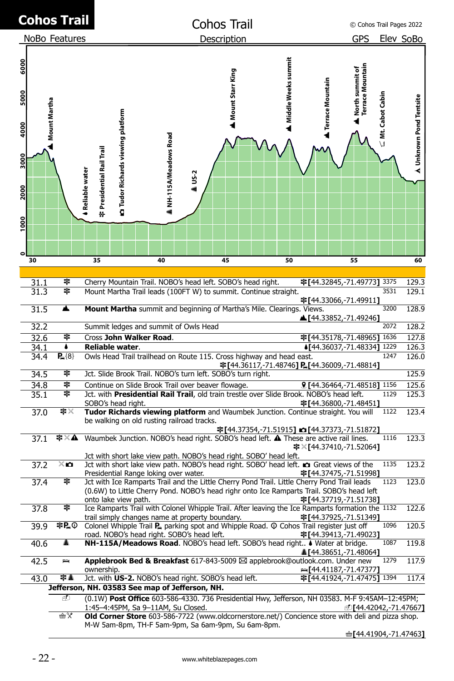|                                              |              | <b>Cohos Trail</b>                                                                          |                                                                                                                                                     |                           |      | <b>Cohos Trail</b> |                                                                       |                                                | C Cohos Trail Pages 2022            |                   |                         |
|----------------------------------------------|--------------|---------------------------------------------------------------------------------------------|-----------------------------------------------------------------------------------------------------------------------------------------------------|---------------------------|------|--------------------|-----------------------------------------------------------------------|------------------------------------------------|-------------------------------------|-------------------|-------------------------|
|                                              |              | NoBo Features                                                                               |                                                                                                                                                     |                           |      | Description        |                                                                       |                                                | GPS                                 |                   | Elev SoBo               |
| 6000<br>5000<br>4000<br>3000<br>2000<br>1000 | Mount Martha |                                                                                             | <b>CO</b> Tudor Richards viewing platform<br>Presidential Rail Trail<br>Reliable water<br>₩                                                         | NH-115A/Meadows Road<br>ą | US-2 | Mount Starr King   | Middle Weeks summit                                                   | <b>A</b> Terrace Mountain                      | North summit of<br>Terrace Mountain | ⊆ Mt. Cabot Cabin | A Unknown Pond Tentsite |
|                                              |              |                                                                                             |                                                                                                                                                     |                           |      |                    |                                                                       |                                                |                                     |                   |                         |
|                                              | 30           |                                                                                             | 35                                                                                                                                                  | 40                        |      | 45                 | 50                                                                    |                                                | 55                                  |                   | 60                      |
|                                              |              |                                                                                             |                                                                                                                                                     |                           |      |                    |                                                                       |                                                |                                     |                   |                         |
|                                              | 31.1         | 宰                                                                                           | Cherry Mountain Trail. NOBO's head left. SOBO's head right.                                                                                         |                           |      |                    |                                                                       | 宰[44.32845,-71.49773] 3375                     |                                     |                   | 129.3                   |
|                                              | 31.3         | 宰                                                                                           | Mount Martha Trail leads (100FT W) to summit. Continue straight.                                                                                    |                           |      |                    |                                                                       |                                                |                                     | 3531              | 129.1                   |
|                                              | 31.5         | ▲                                                                                           | Mount Martha summit and beginning of Martha's Mile. Clearings. Views.                                                                               |                           |      |                    |                                                                       | 후[44.33066,-71.49911]<br>▲[44.33852,-71.49246] |                                     | 3200              | 128.9                   |
|                                              | 32.2         |                                                                                             | Summit ledges and summit of Owls Head                                                                                                               |                           |      |                    |                                                                       |                                                |                                     | 2072              | 128.2                   |
|                                              | 32.6         | うきょう こくさい こうきょう こうきょう こうきょう こうきょう こうきょう こうきょう こうきょう こうきょう こうきょう こうきょう こうきょう こうきょう きょうきょうきょう | Cross John Walker Road.                                                                                                                             |                           |      |                    |                                                                       | 宰[44.35178,-71.48965]                          |                                     | 1636              | 127.8                   |
|                                              | 34.1         | ٠                                                                                           | Reliable water.                                                                                                                                     |                           |      |                    |                                                                       | 4[44.36037,-71.48334] 1229                     |                                     | 1247              | 126.3                   |
|                                              | 34.4         | $P_a{8}$                                                                                    | Owls Head Trail trailhead on Route 115. Cross highway and head east.                                                                                |                           |      |                    | <b>宰[</b> 44.36117,-71.48746 <b>] P.[</b> 44.36009,-71.48814 <b>]</b> |                                                |                                     |                   | 126.0                   |
|                                              | 34.5         | うきょう こくさい こうきょう こうきょう こうきょう こうきょう こうきょう こうきょう こうきょう こうきょう こうきょう こうきょう こうきょう こうきょう きょうきょうきょう | Jct. Slide Brook Trail. NOBO's turn left. SOBO's turn right.                                                                                        |                           |      |                    |                                                                       |                                                |                                     |                   | 125.9                   |
|                                              | 34.8         | うきょう こくさい こうきょう こうきょう こうきょう こうきょう こうきょう こうきょう こうきょう こうきょう こうきょう こうきょう こうきょう こうきょう きょうきょうきょう | Continue on Slide Brook Trail over beaver flowage.                                                                                                  |                           |      |                    |                                                                       | <b>Q</b> [44.36464,-71.48518] 1156             |                                     |                   | 125.6                   |
|                                              | 35.1         | 宰                                                                                           | Jct. with Presidential Rail Trail, old train trestle over Slide Brook. NOBO's head left.                                                            |                           |      |                    |                                                                       |                                                |                                     | 1129              | 125.3                   |
|                                              | 37.0         | ≢Χ                                                                                          | SOBO's head right.<br>Tudor Richards viewing platform and Waumbek Junction. Continue straight. You will                                             |                           |      |                    |                                                                       | 宰[44.36800,-71.48451]                          |                                     | 1122              | 123.4                   |
|                                              |              |                                                                                             | be walking on old rusting railroad tracks.                                                                                                          |                           |      |                    |                                                                       |                                                |                                     |                   |                         |
|                                              | 37.1         | ≉×▲                                                                                         | Waumbek Junction. NOBO's head right. SOBO's head left. A These are active rail lines.                                                               |                           |      |                    | 韋[44.37354,-71.51915] ☎ [44.37373,-71.51872]                          | 辛×[44.37410,-71.52064]                         |                                     | 1116              | 123.3                   |
|                                              |              |                                                                                             | Jct with short lake view path. NOBO's head right. SOBO' head left.                                                                                  |                           |      |                    |                                                                       |                                                |                                     |                   |                         |
|                                              | 37.2         | ×ю                                                                                          | Jct with short lake view path. NOBO's head right. SOBO' head left. <b>no</b> Great views of the                                                     |                           |      |                    |                                                                       |                                                |                                     | 1135              | 123.2                   |
|                                              | 37.4         | 宰                                                                                           | Presidential Range loking over water.<br>Jct with Ice Ramparts Trail and the Little Cherry Pond Trail. Little Cherry Pond Trail leads               |                           |      |                    |                                                                       | 宰[44.37475,-71.51998]                          |                                     | 1123              | 123.0                   |
|                                              |              |                                                                                             | (0.6W) to Little Cherry Pond. NOBO's head righr onto Ice Ramparts Trail. SOBO's head left                                                           |                           |      |                    |                                                                       |                                                |                                     |                   |                         |
|                                              |              |                                                                                             | onto lake view path.                                                                                                                                |                           |      |                    |                                                                       | 宰[44.37719,-71.51738]                          |                                     |                   |                         |
|                                              | 37.8         | 宰                                                                                           | Ice Ramparts Trail with Colonel Whipple Trail. After leaving the Ice Ramparts formation the 1132<br>trail simply changes name at property boundary. |                           |      |                    |                                                                       | 宰[44.37925,-71.51349]                          |                                     |                   | 122.6                   |
|                                              | 39.9         | 宰P.①                                                                                        | Colonel Whipple Trail P parking spot and Whipple Road. © Cohos Trail register just off                                                              |                           |      |                    |                                                                       |                                                |                                     | 1096              | 120.5                   |
|                                              |              |                                                                                             | road. NOBO's head right. SOBO's head left.                                                                                                          |                           |      |                    |                                                                       | 宰[44.39413,-71.49023]                          |                                     |                   |                         |
|                                              | 40.6         | ▲                                                                                           | NH-115A/Meadows Road. NOBO's head left. SOBO's head right I Water at bridge.                                                                        |                           |      |                    |                                                                       | A [44.38651,-71.48064]                         |                                     | 1087              | 119.8                   |
|                                              | 42.5         | $\Rightarrow$                                                                               | Applebrook Bed & Breakfast 617-843-5009 ⊠ applebrook@outlook.com. Under new<br>ownership.                                                           |                           |      |                    |                                                                       | $\approx$ [44.41187,-71.47377]                 |                                     | 1279              | 117.9                   |
|                                              | 43.0         | 宰人                                                                                          | Jct. with US-2. NOBO's head right. SOBO's head left.                                                                                                |                           |      |                    |                                                                       | 宰[44.41924,-71.47475] 1394                     |                                     |                   | 117.4                   |
|                                              |              |                                                                                             | Jefferson, NH. 03583 See map of Jefferson, NH.                                                                                                      |                           |      |                    |                                                                       |                                                |                                     |                   |                         |
|                                              |              | ₫                                                                                           | (0.1W) Post Office 603-586-4330. 736 Presidential Hwy, Jefferson, NH 03583. M-F 9:45AM-12:45PM;                                                     |                           |      |                    |                                                                       |                                                |                                     |                   |                         |
|                                              |              | ഷ் Х                                                                                        | 1:45-4:45PM, Sa 9-11AM, Su Closed.<br>Old Corner Store 603-586-7722 (www.oldcornerstore.net/) Concience store with deli and pizza shop.             |                           |      |                    |                                                                       |                                                | @[44.42042,-71.47667]               |                   |                         |
|                                              |              |                                                                                             | M-W 5am-8pm, TH-F 5am-9pm, Sa 6am-9pm, Su 6am-8pm.                                                                                                  |                           |      |                    |                                                                       |                                                |                                     |                   |                         |
|                                              |              |                                                                                             |                                                                                                                                                     |                           |      |                    |                                                                       |                                                | ≞[44.41904,-71.47463]               |                   |                         |